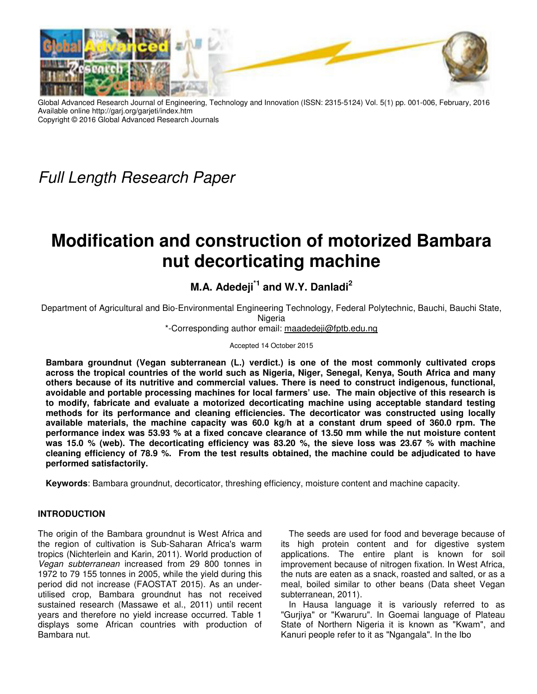

Global Advanced Research Journal of Engineering, Technology and Innovation (ISSN: 2315-5124) Vol. 5(1) pp. 001-006, February, 2016 Available online http://garj.org/garjeti/index.htm Copyright © 2016 Global Advanced Research Journals

Full Length Research Paper

# **Modification and construction of motorized Bambara nut decorticating machine**

# **M.A. Adedeji\*1 and W.Y. Danladi<sup>2</sup>**

Department of Agricultural and Bio-Environmental Engineering Technology, Federal Polytechnic, Bauchi, Bauchi State, Nigeria

\*-Corresponding author email: maadedeji@fptb.edu.ng

Accepted 14 October 2015

**Bambara groundnut (Vegan subterranean (L.) verdict.) is one of the most commonly cultivated crops across the tropical countries of the world such as Nigeria, Niger, Senegal, Kenya, South Africa and many others because of its nutritive and commercial values. There is need to construct indigenous, functional, avoidable and portable processing machines for local farmers' use. The main objective of this research is to modify, fabricate and evaluate a motorized decorticating machine using acceptable standard testing methods for its performance and cleaning efficiencies. The decorticator was constructed using locally available materials, the machine capacity was 60.0 kg/h at a constant drum speed of 360.0 rpm. The performance index was 53.93 % at a fixed concave clearance of 13.50 mm while the nut moisture content was 15.0 % (web). The decorticating efficiency was 83.20 %, the sieve loss was 23.67 % with machine cleaning efficiency of 78.9 %. From the test results obtained, the machine could be adjudicated to have performed satisfactorily.** 

**Keywords**: Bambara groundnut, decorticator, threshing efficiency, moisture content and machine capacity.

#### **INTRODUCTION**

The origin of the Bambara groundnut is West Africa and the region of cultivation is Sub-Saharan Africa's warm tropics (Nichterlein and Karin, 2011). World production of Vegan subterranean increased from 29 800 tonnes in 1972 to 79 155 tonnes in 2005, while the yield during this period did not increase (FAOSTAT 2015). As an underutilised crop, Bambara groundnut has not received sustained research (Massawe et al., 2011) until recent years and therefore no yield increase occurred. Table 1 displays some African countries with production of Bambara nut.

The seeds are used for food and beverage because of its high protein content and for digestive system applications. The entire plant is known for soil improvement because of nitrogen fixation. In West Africa, the nuts are eaten as a snack, roasted and salted, or as a meal, boiled similar to other beans (Data sheet Vegan subterranean, 2011).

In Hausa language it is variously referred to as "Gurjiya" or "Kwaruru". In Goemai language of Plateau State of Northern Nigeria it is known as "Kwam", and Kanuri people refer to it as "Ngangala". In the Ibo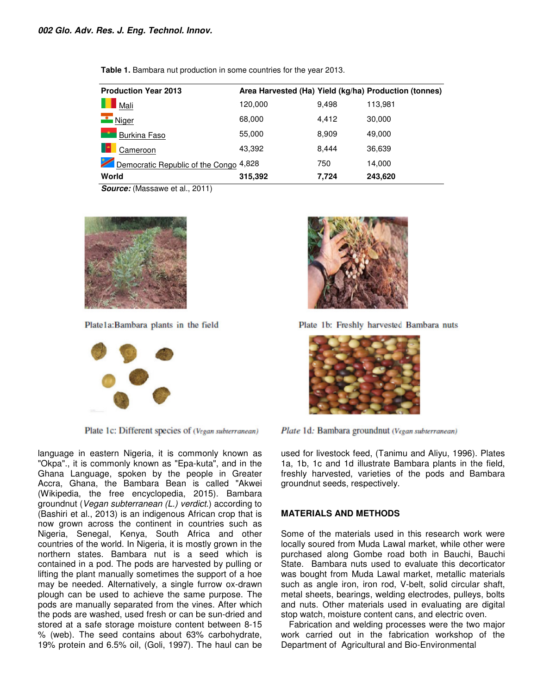| <b>Production Year 2013</b>            |         |       | Area Harvested (Ha) Yield (kg/ha) Production (tonnes) |
|----------------------------------------|---------|-------|-------------------------------------------------------|
| Mali                                   | 120,000 | 9.498 | 113.981                                               |
| Niger                                  | 68,000  | 4.412 | 30,000                                                |
| <b>Burkina Faso</b>                    | 55,000  | 8.909 | 49,000                                                |
| Cameroon                               | 43,392  | 8.444 | 36,639                                                |
| Democratic Republic of the Congo 4,828 |         | 750   | 14,000                                                |
| World                                  | 315,392 | 7.724 | 243,620                                               |

**Table 1.** Bambara nut production in some countries for the year 2013. 2013.

*Source:* (Massawe et al., 2011)



Plate1a:Bambara plants in the field



Plate 1c: Different species of (Vegan subterranean)

language in eastern Nigeria, it is commonly known as "Okpa"., it is commonly known as "Epa-kuta", and in the Ghana Language, spoken by the people in Greater Accra, Ghana, the Bambara Bean is called "Akwei (Wikipedia, the free encyclopedia, 2015) groundnut (*Vegan subterranean (L.) verdict*.) according to (Bashiri et al., 2013) is an indigenous African crop that is now grown across the continent in countries such as Nigeria, Senegal, Kenya, South Africa and other countries of the world. In Nigeria, it is mostly grown in the northern states. Bambara nut is a seed which is contained in a pod. The pods are harvested by pulling or lifting the plant manually sometimes the support of a hoe may be needed. Alternatively, a single furrow ox plough can be used to achieve the same purpose. The pods are manually separated from the vines. After which the pods are washed, used fresh or can be sun stored at a safe storage moisture content between 8-15 % (web). The seed contains about 63% carbohydrate, 19% protein and 6.5% oil, (Goli, 1997). The haul can be eastern Nigeria, it is commonly known as<br>commonly known as "Epa-kuta", and in the<br>uage, spoken by the people in Greater<br>a, the Bambara Bean is called "Akwei<br>the free encyclopedia, 2015). Bambara now grown across the continent in countries such as<br>Nigeria, Senegal, Kenya, South Africa and other<br>countries of the world. In Nigeria, it is mostly grown in the<br>northern states. Bambara nut is a seed which is<br>contained in igh can be used to achieve the same purpose. The<br>s are manually separated from the vines. After which<br>pods are washed, used fresh or can be sun-dried and



Plate 1b: Freshly harvested Bambara nuts



Plate 1d: Bambara groundnut (Vegan subterranean)

1a, 1b, 1c and 1d illustrate Bambara plants in the field, freshly harvested, varieties of the pods and Bambara groundnut seeds, respectively. used for livestock feed, (Tanimu and Aliyu, 1996). Plates

#### **MATERIALS AND METHODS**

mmonly known as used for livestock feed, (Tanimu and Aliyu, 1996)<br>
ava-kuta", and in the 1a, 1b, 1c and 1d illustrate Bambara plants in the<br>
people in Greater freshly harvested, varieties of the pods and B<br>
is called "Akwe Some of the materials used in this research work were locally soured from Muda Lawal market, while other were purchased along Gombe road both in Bauchi, Bauchi State. Bambara nuts used to evaluate this decorticator was bought from Muda Lawal market, metallic materials such as angle iron, iron rod, V-belt, solid circular shaft, metal sheets, bearings, welding electrodes, pulleys, bolts and nuts. Other materials used in evaluating are digital stop watch, moisture content cans, and electric oven. 1a, 1b, 1c and 1d illustrate Bambara plants in the field, freshly harvested, varieties of the pods and Bambara<br>groundnut seeds, respectively.<br>**MATERIALS AND METHODS**<br>Some of the materials used in this research work were<br>lo metal sheets, bearings, welding electrodes, pulleys, t<br>and nuts. Other materials used in evaluating are di<br>stop watch, moisture content cans, and electric oven.

Fabrication and welding processes were the two major work carried out in the fabrication workshop of the Department of Agricultural and Bio Fabrication and welding processes were the two<br>work carried out in the fabrication workshop<br>Department of Agricultural and Bio-Environmental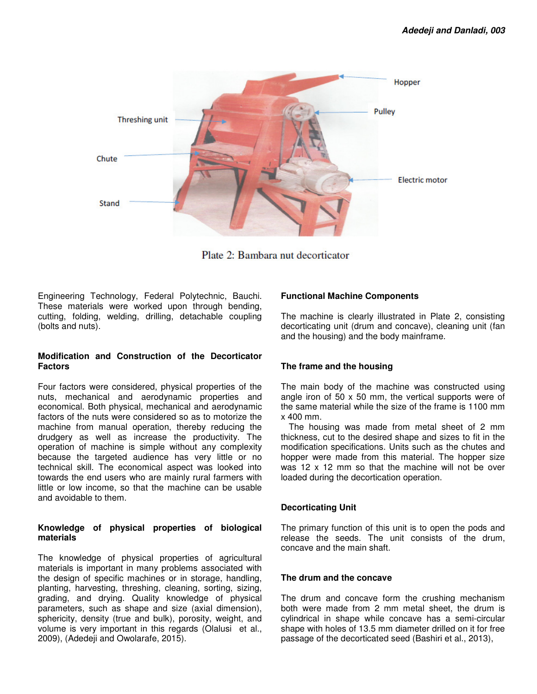

Plate 2: Bambara nut decorticator

Engineering Technology, Federal Polytechnic, Bauchi. These materials were worked upon through bending, cutting, folding, welding, drilling, detachable coupling (bolts and nuts).

#### **Modification and Construction of the Decorticator Factors**

Four factors were considered, physical properties of the nuts, mechanical and aerodynamic properties and economical. Both physical, mechanical and aerodynamic factors of the nuts were considered so as to motorize the machine from manual operation, thereby reducing the drudgery as well as increase the productivity. The operation of machine is simple without any complexity because the targeted audience has very little or no technical skill. The economical aspect was looked into towards the end users who are mainly rural farmers with little or low income, so that the machine can be usable and avoidable to them.

#### **Knowledge of physical properties of biological materials**

The knowledge of physical properties of agricultural materials is important in many problems associated with the design of specific machines or in storage, handling, planting, harvesting, threshing, cleaning, sorting, sizing, grading, and drying. Quality knowledge of physical parameters, such as shape and size (axial dimension), sphericity, density (true and bulk), porosity, weight, and volume is very important in this regards (Olalusi et al., 2009), (Adedeji and Owolarafe, 2015).

# **Functional Machine Components**

The machine is clearly illustrated in Plate 2, consisting decorticating unit (drum and concave), cleaning unit (fan and the housing) and the body mainframe.

# **The frame and the housing**

The main body of the machine was constructed using angle iron of 50 x 50 mm, the vertical supports were of the same material while the size of the frame is 1100 mm x 400 mm.

The housing was made from metal sheet of 2 mm thickness, cut to the desired shape and sizes to fit in the modification specifications. Units such as the chutes and hopper were made from this material. The hopper size was 12 x 12 mm so that the machine will not be over loaded during the decortication operation.

# **Decorticating Unit**

The primary function of this unit is to open the pods and release the seeds. The unit consists of the drum, concave and the main shaft.

# **The drum and the concave**

The drum and concave form the crushing mechanism both were made from 2 mm metal sheet, the drum is cylindrical in shape while concave has a semi-circular shape with holes of 13.5 mm diameter drilled on it for free passage of the decorticated seed (Bashiri et al., 2013),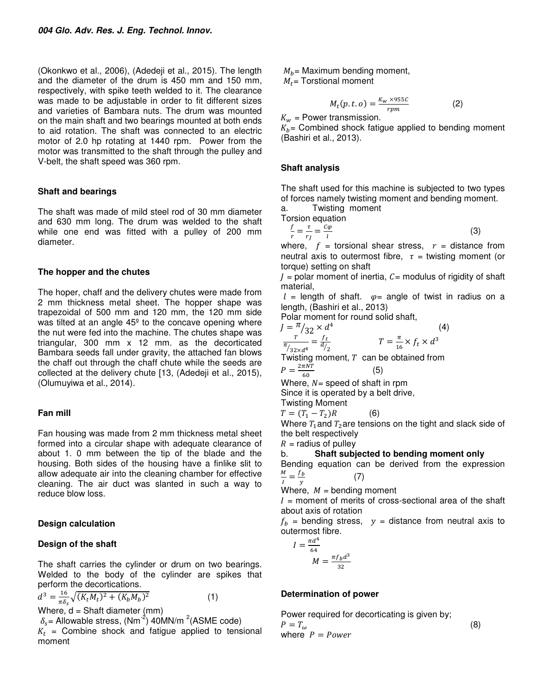(Okonkwo et al., 2006), (Adedeji et al., 2015). The length and the diameter of the drum is 450 mm and 150 mm, respectively, with spike teeth welded to it. The clearance was made to be adjustable in order to fit different sizes and varieties of Bambara nuts. The drum was mounted on the main shaft and two bearings mounted at both ends to aid rotation. The shaft was connected to an electric motor of 2.0 hp rotating at 1440 rpm. Power from the motor was transmitted to the shaft through the pulley and V-belt, the shaft speed was 360 rpm.

#### **Shaft and bearings**

The shaft was made of mild steel rod of 30 mm diameter and 630 mm long. The drum was welded to the shaft while one end was fitted with a pulley of 200 mm diameter.

#### **The hopper and the chutes**

The hoper, chaff and the delivery chutes were made from 2 mm thickness metal sheet. The hopper shape was trapezoidal of 500 mm and 120 mm, the 120 mm side was tilted at an angle 45<sup>°</sup> to the concave opening where the nut were fed into the machine. The chutes shape was triangular, 300 mm x 12 mm. as the decorticated Bambara seeds fall under gravity, the attached fan blows the chaff out through the chaff chute while the seeds are collected at the delivery chute [13, (Adedeji et al., 2015), (Olumuyiwa et al., 2014).

# **Fan mill**

Fan housing was made from 2 mm thickness metal sheet formed into a circular shape with adequate clearance of about 1. 0 mm between the tip of the blade and the housing. Both sides of the housing have a finlike slit to allow adequate air into the cleaning chamber for effective cleaning. The air duct was slanted in such a way to reduce blow loss.

# **Design calculation**

# **Design of the shaft**

The shaft carries the cylinder or drum on two bearings. Welded to the body of the cylinder are spikes that perform the decortications.

$$
d^{3} = \frac{16}{\pi \delta_{s}} \sqrt{(K_{t}M_{t})^{2} + (K_{b}M_{b})^{2}}
$$
 (1)

Where,  $d =$  Shaft diameter (mm)

 $\delta_s$  = Allowable stress, (Nm<sup>-2</sup>) 40MN/m<sup>-2</sup>(ASME code)

 $K_t$  = Combine shock and fatigue applied to tensional moment

 $M_h$  = Maximum bending moment,  $M_t$  = Torstional moment

$$
M_t(p.t. o) = \frac{K_w \times 955C}{rpm} \tag{2}
$$

 $K_w$  = Power transmission.

 $K_b$  = Combined shock fatigue applied to bending moment (Bashiri et al., 2013).

#### **Shaft analysis**

The shaft used for this machine is subjected to two types of forces namely twisting moment and bending moment.

a. Twisting moment

Torsion equation

$$
\frac{f}{r} = \frac{\tau}{r_f} = \frac{c\varphi}{l} \tag{3}
$$

where,  $f =$  torsional shear stress,  $r =$  distance from neutral axis to outermost fibre,  $\tau$  = twisting moment (or torque) setting on shaft

 $I =$  polar moment of inertia,  $C =$  modulus of rigidity of shaft material,

 $l =$  length of shaft.  $\varphi =$  angle of twist in radius on a length, (Bashiri et al., 2013)

(4)

Polar moment for round solid shaft,

$$
J = \frac{\pi}{r} / 32 \times d^4
$$
  

$$
T = \frac{f_t}{r} \qquad T = \frac{7}{r}
$$

$$
\frac{T}{\pi/32 \times d^4} = \frac{f_t}{d/2}
$$
 
$$
T = \frac{\pi}{16} \times f_t \times d^3
$$

Twisting moment,  $T$  can be obtained from  $P = \frac{2\pi NT}{60}$ (5)

Where,  $N =$  speed of shaft in rpm

Since it is operated by a belt drive,

Twisting Moment

 $T = (T_1 - T_2)$  $(6)$ 

Where  $T_1$  and  $T_2$  are tensions on the tight and slack side of the belt respectively

 $R =$  radius of pulley

b. **Shaft subjected to bending moment only** 

Bending equation can be derived from the expression  $\frac{M}{I}=\frac{f_b}{v}$  $\overline{I}$ (7)

 $\mathcal{Y}$ Where,  $M =$  bending moment

 $I =$  moment of merits of cross-sectional area of the shaft about axis of rotation

 $f<sub>b</sub>$  = bending stress,  $y$  = distance from neutral axis to outermost fibre.

$$
I = \frac{\pi d^4}{64}
$$

$$
M = \frac{\pi f_b d^3}{32}
$$

# **Determination of power**

Power required for decorticating is given by;  
\n
$$
P = T_{\omega}
$$
 (8)  
\nwhere  $P = Power$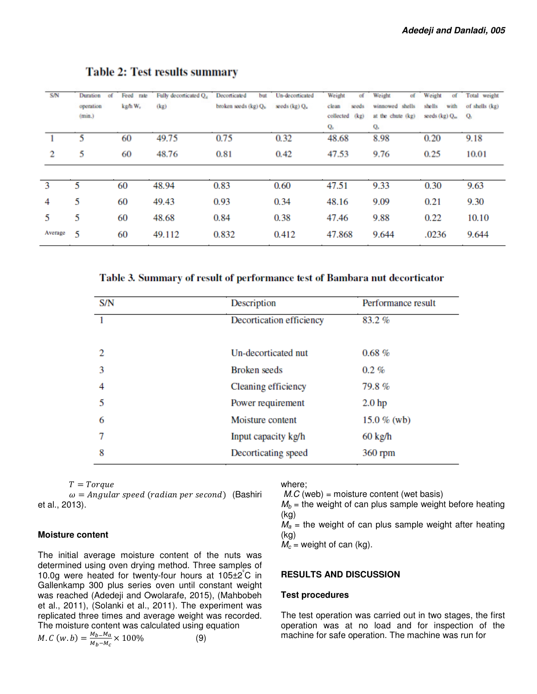| <b>S/N</b>   | Duration<br>of<br>operation<br>(min.) | Feed rate<br>kg/h W, | Fully decorticated Q <sub>4</sub> Decorticated<br>(kg) | but<br>broken seeds (kg) Q <sub>b</sub> | Un-decorticated<br>seeds (kg) Qu | Weight<br>σf<br>clean<br>seeds<br>collected (kg)<br>Q, | Weight<br>of<br>winnowed shells<br>at the chute (kg)<br>Q, | Weight<br>of<br>shells<br>with<br>seeds (kg) Q <sub>m</sub> | Total weight<br>of shells (kg)<br>$Q_t$ |
|--------------|---------------------------------------|----------------------|--------------------------------------------------------|-----------------------------------------|----------------------------------|--------------------------------------------------------|------------------------------------------------------------|-------------------------------------------------------------|-----------------------------------------|
|              | 5                                     | 60                   | 49.75                                                  | 0.75                                    | 0.32                             | 48.68                                                  | 8.98                                                       | 0.20                                                        | 9.18                                    |
| 2            | 5                                     | 60                   | 48.76                                                  | 0.81                                    | 0.42                             | 47.53                                                  | 9.76                                                       | 0.25                                                        | 10.01                                   |
| $\mathbf{3}$ | 5                                     | 60                   | 48.94                                                  | 0.83                                    | 0.60                             | 47.51                                                  | 9.33                                                       | 0.30                                                        | 9.63                                    |
| 4            | 5                                     | 60                   | 49.43                                                  | 0.93                                    | 0.34                             | 48.16                                                  | 9.09                                                       | 0.21                                                        | 9.30                                    |
| 5            | 5                                     | 60                   | 48.68                                                  | 0.84                                    | 0.38                             | 47.46                                                  | 9.88                                                       | 0.22                                                        | 10.10                                   |
| Average      | 5                                     | 60                   | 49.112                                                 | 0.832                                   | 0.412                            | 47.868                                                 | 9.644                                                      | .0236                                                       | 9.644                                   |

# **Table 2: Test results summary**

Table 3. Summary of result of performance test of Bambara nut decorticator

| S/N | Description              | Performance result |
|-----|--------------------------|--------------------|
|     | Decortication efficiency | 83.2%              |
|     |                          |                    |
| 2   | Un-decorticated nut      | $0.68 \%$          |
| 3   | <b>Broken</b> seeds      | $0.2\%$            |
| 4   | Cleaning efficiency      | 79.8%              |
| 5   | Power requirement        | 2.0 <sub>hp</sub>  |
| 6   | Moisture content         | 15.0 $%$ (wb)      |
| 7   | Input capacity kg/h      | $60 \text{ kg/h}$  |
| 8   | Decorticating speed      | 360 rpm            |

$$
T = Torque
$$

 $\omega =$  Angular speed (radian per second) (Bashiri et al., 2013).

#### **Moisture content**

The initial average moisture content of the nuts was determined using oven drying method. Three samples of 10.0g were heated for twenty-four hours at  $105\pm2^{\circ}$ C in Gallenkamp 300 plus series oven until constant weight was reached (Adedeji and Owolarafe, 2015), (Mahbobeh et al., 2011), (Solanki et al., 2011). The experiment was replicated three times and average weight was recorded. The moisture content was calculated using equation *M.C* (*w. b*) =  $\frac{M_b - M_a}{M_b - M_b}$  $\frac{M_b - M_a}{M_b - M_c} \times 100\%$  (9)

where;

 $M.C$  (web) = moisture content (wet basis)

 $M_b$  = the weight of can plus sample weight before heating (kg)

 $M_a$  = the weight of can plus sample weight after heating (kg)

 $M_c$  = weight of can (kg).

#### **RESULTS AND DISCUSSION**

#### **Test procedures**

The test operation was carried out in two stages, the first operation was at no load and for inspection of the machine for safe operation. The machine was run for